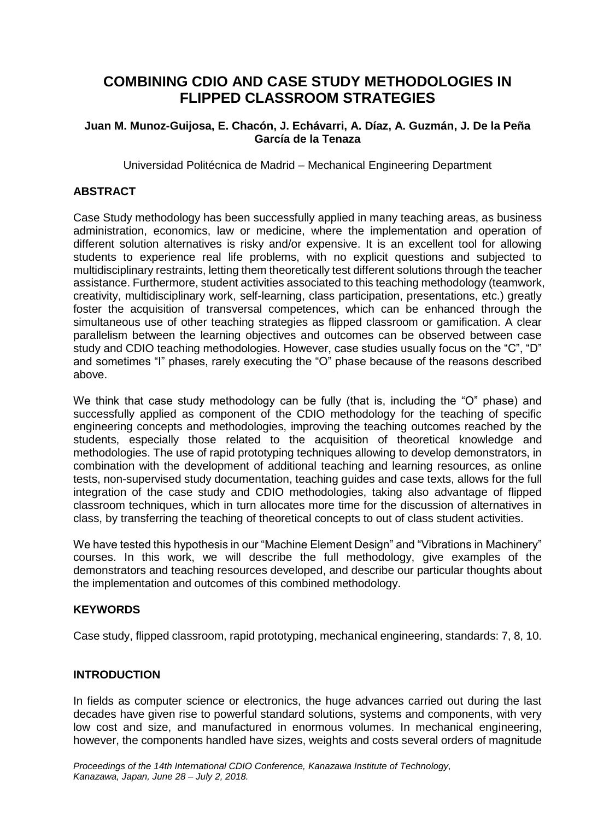# **COMBINING CDIO AND CASE STUDY METHODOLOGIES IN FLIPPED CLASSROOM STRATEGIES**

#### **Juan M. Munoz-Guijosa, E. Chacón, J. Echávarri, A. Díaz, A. Guzmán, J. De la Peña García de la Tenaza**

Universidad Politécnica de Madrid – Mechanical Engineering Department

# **ABSTRACT**

Case Study methodology has been successfully applied in many teaching areas, as business administration, economics, law or medicine, where the implementation and operation of different solution alternatives is risky and/or expensive. It is an excellent tool for allowing students to experience real life problems, with no explicit questions and subjected to multidisciplinary restraints, letting them theoretically test different solutions through the teacher assistance. Furthermore, student activities associated to this teaching methodology (teamwork, creativity, multidisciplinary work, self-learning, class participation, presentations, etc.) greatly foster the acquisition of transversal competences, which can be enhanced through the simultaneous use of other teaching strategies as flipped classroom or gamification. A clear parallelism between the learning objectives and outcomes can be observed between case study and CDIO teaching methodologies. However, case studies usually focus on the "C", "D" and sometimes "I" phases, rarely executing the "O" phase because of the reasons described above.

We think that case study methodology can be fully (that is, including the "O" phase) and successfully applied as component of the CDIO methodology for the teaching of specific engineering concepts and methodologies, improving the teaching outcomes reached by the students, especially those related to the acquisition of theoretical knowledge and methodologies. The use of rapid prototyping techniques allowing to develop demonstrators, in combination with the development of additional teaching and learning resources, as online tests, non-supervised study documentation, teaching guides and case texts, allows for the full integration of the case study and CDIO methodologies, taking also advantage of flipped classroom techniques, which in turn allocates more time for the discussion of alternatives in class, by transferring the teaching of theoretical concepts to out of class student activities.

We have tested this hypothesis in our "Machine Element Design" and "Vibrations in Machinery" courses. In this work, we will describe the full methodology, give examples of the demonstrators and teaching resources developed, and describe our particular thoughts about the implementation and outcomes of this combined methodology.

## **KEYWORDS**

Case study, flipped classroom, rapid prototyping, mechanical engineering, standards: 7, 8, 10.

## **INTRODUCTION**

In fields as computer science or electronics, the huge advances carried out during the last decades have given rise to powerful standard solutions, systems and components, with very low cost and size, and manufactured in enormous volumes. In mechanical engineering, however, the components handled have sizes, weights and costs several orders of magnitude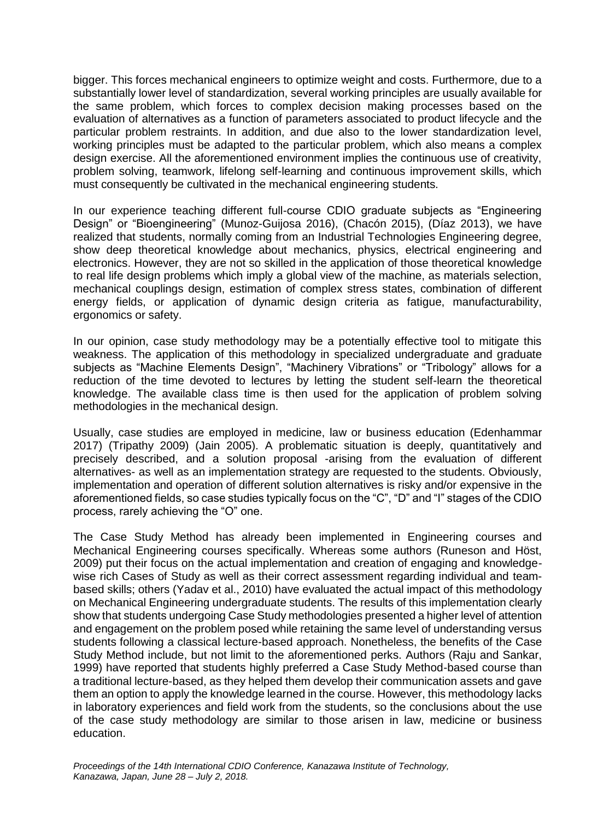bigger. This forces mechanical engineers to optimize weight and costs. Furthermore, due to a substantially lower level of standardization, several working principles are usually available for the same problem, which forces to complex decision making processes based on the evaluation of alternatives as a function of parameters associated to product lifecycle and the particular problem restraints. In addition, and due also to the lower standardization level, working principles must be adapted to the particular problem, which also means a complex design exercise. All the aforementioned environment implies the continuous use of creativity, problem solving, teamwork, lifelong self-learning and continuous improvement skills, which must consequently be cultivated in the mechanical engineering students.

In our experience teaching different full-course CDIO graduate subjects as "Engineering Design" or "Bioengineering" (Munoz-Guijosa 2016), (Chacón 2015), (Díaz 2013), we have realized that students, normally coming from an Industrial Technologies Engineering degree, show deep theoretical knowledge about mechanics, physics, electrical engineering and electronics. However, they are not so skilled in the application of those theoretical knowledge to real life design problems which imply a global view of the machine, as materials selection, mechanical couplings design, estimation of complex stress states, combination of different energy fields, or application of dynamic design criteria as fatigue, manufacturability, ergonomics or safety.

In our opinion, case study methodology may be a potentially effective tool to mitigate this weakness. The application of this methodology in specialized undergraduate and graduate subjects as "Machine Elements Design", "Machinery Vibrations" or "Tribology" allows for a reduction of the time devoted to lectures by letting the student self-learn the theoretical knowledge. The available class time is then used for the application of problem solving methodologies in the mechanical design.

Usually, case studies are employed in medicine, law or business education (Edenhammar 2017) (Tripathy 2009) (Jain 2005). A problematic situation is deeply, quantitatively and precisely described, and a solution proposal -arising from the evaluation of different alternatives- as well as an implementation strategy are requested to the students. Obviously, implementation and operation of different solution alternatives is risky and/or expensive in the aforementioned fields, so case studies typically focus on the "C", "D" and "I" stages of the CDIO process, rarely achieving the "O" one.

The Case Study Method has already been implemented in Engineering courses and Mechanical Engineering courses specifically. Whereas some authors (Runeson and Höst, 2009) put their focus on the actual implementation and creation of engaging and knowledgewise rich Cases of Study as well as their correct assessment regarding individual and teambased skills; others (Yadav et al., 2010) have evaluated the actual impact of this methodology on Mechanical Engineering undergraduate students. The results of this implementation clearly show that students undergoing Case Study methodologies presented a higher level of attention and engagement on the problem posed while retaining the same level of understanding versus students following a classical lecture-based approach. Nonetheless, the benefits of the Case Study Method include, but not limit to the aforementioned perks. Authors (Raju and Sankar, 1999) have reported that students highly preferred a Case Study Method-based course than a traditional lecture-based, as they helped them develop their communication assets and gave them an option to apply the knowledge learned in the course. However, this methodology lacks in laboratory experiences and field work from the students, so the conclusions about the use of the case study methodology are similar to those arisen in law, medicine or business education.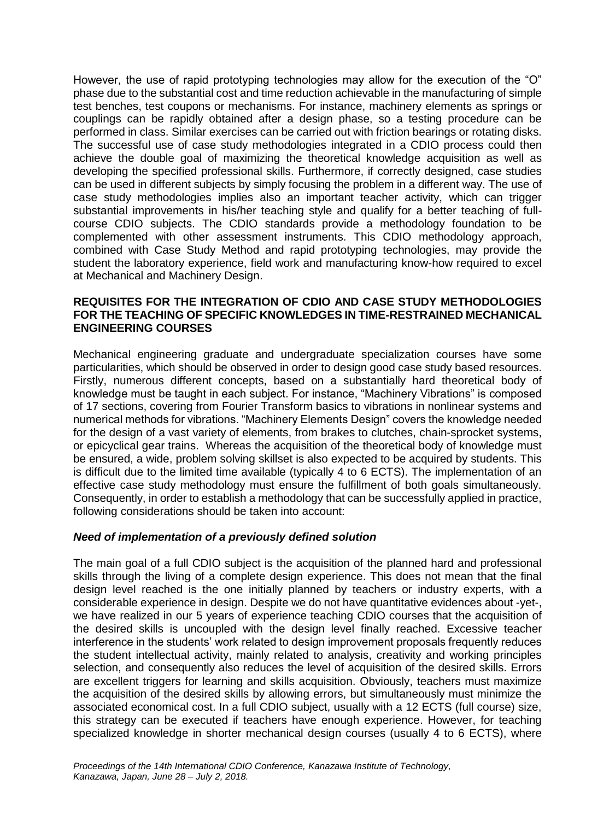However, the use of rapid prototyping technologies may allow for the execution of the "O" phase due to the substantial cost and time reduction achievable in the manufacturing of simple test benches, test coupons or mechanisms. For instance, machinery elements as springs or couplings can be rapidly obtained after a design phase, so a testing procedure can be performed in class. Similar exercises can be carried out with friction bearings or rotating disks. The successful use of case study methodologies integrated in a CDIO process could then achieve the double goal of maximizing the theoretical knowledge acquisition as well as developing the specified professional skills. Furthermore, if correctly designed, case studies can be used in different subjects by simply focusing the problem in a different way. The use of case study methodologies implies also an important teacher activity, which can trigger substantial improvements in his/her teaching style and qualify for a better teaching of fullcourse CDIO subjects. The CDIO standards provide a methodology foundation to be complemented with other assessment instruments. This CDIO methodology approach, combined with Case Study Method and rapid prototyping technologies, may provide the student the laboratory experience, field work and manufacturing know-how required to excel at Mechanical and Machinery Design.

#### **REQUISITES FOR THE INTEGRATION OF CDIO AND CASE STUDY METHODOLOGIES FOR THE TEACHING OF SPECIFIC KNOWLEDGES IN TIME-RESTRAINED MECHANICAL ENGINEERING COURSES**

Mechanical engineering graduate and undergraduate specialization courses have some particularities, which should be observed in order to design good case study based resources. Firstly, numerous different concepts, based on a substantially hard theoretical body of knowledge must be taught in each subject. For instance, "Machinery Vibrations" is composed of 17 sections, covering from Fourier Transform basics to vibrations in nonlinear systems and numerical methods for vibrations. "Machinery Elements Design" covers the knowledge needed for the design of a vast variety of elements, from brakes to clutches, chain-sprocket systems, or epicyclical gear trains. Whereas the acquisition of the theoretical body of knowledge must be ensured, a wide, problem solving skillset is also expected to be acquired by students. This is difficult due to the limited time available (typically 4 to 6 ECTS). The implementation of an effective case study methodology must ensure the fulfillment of both goals simultaneously. Consequently, in order to establish a methodology that can be successfully applied in practice, following considerations should be taken into account:

## *Need of implementation of a previously defined solution*

The main goal of a full CDIO subject is the acquisition of the planned hard and professional skills through the living of a complete design experience. This does not mean that the final design level reached is the one initially planned by teachers or industry experts, with a considerable experience in design. Despite we do not have quantitative evidences about -yet-, we have realized in our 5 years of experience teaching CDIO courses that the acquisition of the desired skills is uncoupled with the design level finally reached. Excessive teacher interference in the students' work related to design improvement proposals frequently reduces the student intellectual activity, mainly related to analysis, creativity and working principles selection, and consequently also reduces the level of acquisition of the desired skills. Errors are excellent triggers for learning and skills acquisition. Obviously, teachers must maximize the acquisition of the desired skills by allowing errors, but simultaneously must minimize the associated economical cost. In a full CDIO subject, usually with a 12 ECTS (full course) size, this strategy can be executed if teachers have enough experience. However, for teaching specialized knowledge in shorter mechanical design courses (usually 4 to 6 ECTS), where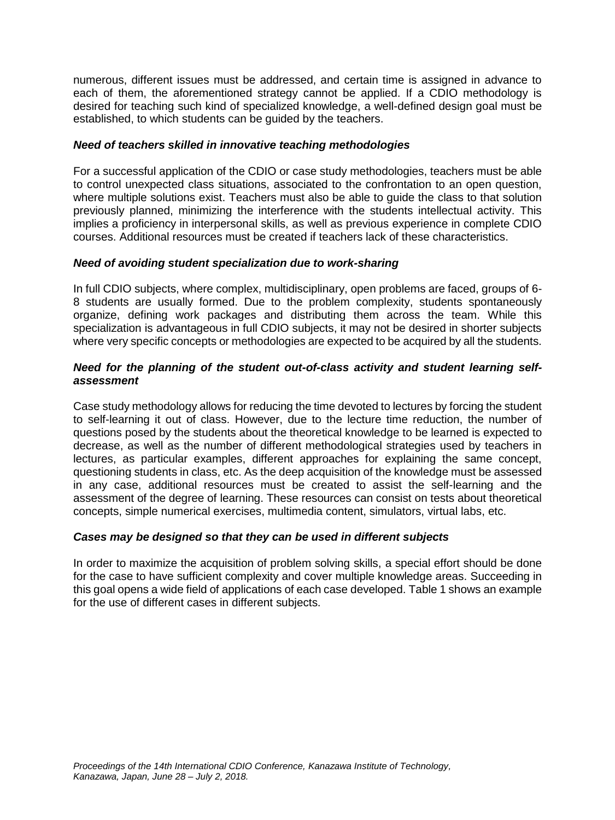numerous, different issues must be addressed, and certain time is assigned in advance to each of them, the aforementioned strategy cannot be applied. If a CDIO methodology is desired for teaching such kind of specialized knowledge, a well-defined design goal must be established, to which students can be guided by the teachers.

#### *Need of teachers skilled in innovative teaching methodologies*

For a successful application of the CDIO or case study methodologies, teachers must be able to control unexpected class situations, associated to the confrontation to an open question, where multiple solutions exist. Teachers must also be able to guide the class to that solution previously planned, minimizing the interference with the students intellectual activity. This implies a proficiency in interpersonal skills, as well as previous experience in complete CDIO courses. Additional resources must be created if teachers lack of these characteristics.

#### *Need of avoiding student specialization due to work-sharing*

In full CDIO subjects, where complex, multidisciplinary, open problems are faced, groups of 6- 8 students are usually formed. Due to the problem complexity, students spontaneously organize, defining work packages and distributing them across the team. While this specialization is advantageous in full CDIO subjects, it may not be desired in shorter subjects where very specific concepts or methodologies are expected to be acquired by all the students.

#### *Need for the planning of the student out-of-class activity and student learning selfassessment*

Case study methodology allows for reducing the time devoted to lectures by forcing the student to self-learning it out of class. However, due to the lecture time reduction, the number of questions posed by the students about the theoretical knowledge to be learned is expected to decrease, as well as the number of different methodological strategies used by teachers in lectures, as particular examples, different approaches for explaining the same concept, questioning students in class, etc. As the deep acquisition of the knowledge must be assessed in any case, additional resources must be created to assist the self-learning and the assessment of the degree of learning. These resources can consist on tests about theoretical concepts, simple numerical exercises, multimedia content, simulators, virtual labs, etc.

## *Cases may be designed so that they can be used in different subjects*

In order to maximize the acquisition of problem solving skills, a special effort should be done for the case to have sufficient complexity and cover multiple knowledge areas. Succeeding in this goal opens a wide field of applications of each case developed. Table 1 shows an example for the use of different cases in different subjects.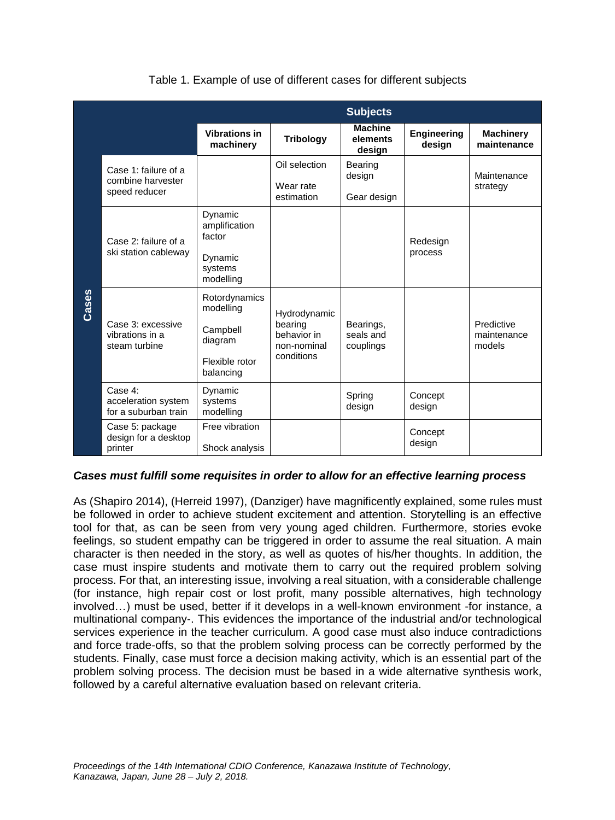|       | <b>Subjects</b>                                            |                                                                                  |                                                                     |                                      |                       |                                     |  |  |  |
|-------|------------------------------------------------------------|----------------------------------------------------------------------------------|---------------------------------------------------------------------|--------------------------------------|-----------------------|-------------------------------------|--|--|--|
|       |                                                            | <b>Vibrations in</b><br>machinery                                                | <b>Tribology</b>                                                    | <b>Machine</b><br>elements<br>design | Engineering<br>design | <b>Machinery</b><br>maintenance     |  |  |  |
| Cases | Case 1: failure of a<br>combine harvester<br>speed reducer |                                                                                  | Oil selection<br>Wear rate<br>estimation                            | Bearing<br>design<br>Gear design     |                       | Maintenance<br>strategy             |  |  |  |
|       | Case 2: failure of a<br>ski station cableway               | Dynamic<br>amplification<br>factor<br>Dynamic<br>systems<br>modelling            |                                                                     |                                      | Redesign<br>process   |                                     |  |  |  |
|       | Case 3: excessive<br>vibrations in a<br>steam turbine      | Rotordynamics<br>modelling<br>Campbell<br>diagram<br>Flexible rotor<br>balancing | Hydrodynamic<br>bearing<br>behavior in<br>non-nominal<br>conditions | Bearings,<br>seals and<br>couplings  |                       | Predictive<br>maintenance<br>models |  |  |  |
|       | Case 4:<br>acceleration system<br>for a suburban train     | Dynamic<br>systems<br>modelling                                                  |                                                                     | Spring<br>design                     | Concept<br>design     |                                     |  |  |  |
|       | Case 5: package<br>design for a desktop<br>printer         | Free vibration<br>Shock analysis                                                 |                                                                     |                                      | Concept<br>design     |                                     |  |  |  |

# Table 1. Example of use of different cases for different subjects

## *Cases must fulfill some requisites in order to allow for an effective learning process*

As (Shapiro 2014), (Herreid 1997), (Danziger) have magnificently explained, some rules must be followed in order to achieve student excitement and attention. Storytelling is an effective tool for that, as can be seen from very young aged children. Furthermore, stories evoke feelings, so student empathy can be triggered in order to assume the real situation. A main character is then needed in the story, as well as quotes of his/her thoughts. In addition, the case must inspire students and motivate them to carry out the required problem solving process. For that, an interesting issue, involving a real situation, with a considerable challenge (for instance, high repair cost or lost profit, many possible alternatives, high technology involved…) must be used, better if it develops in a well-known environment -for instance, a multinational company-. This evidences the importance of the industrial and/or technological services experience in the teacher curriculum. A good case must also induce contradictions and force trade-offs, so that the problem solving process can be correctly performed by the students. Finally, case must force a decision making activity, which is an essential part of the problem solving process. The decision must be based in a wide alternative synthesis work, followed by a careful alternative evaluation based on relevant criteria.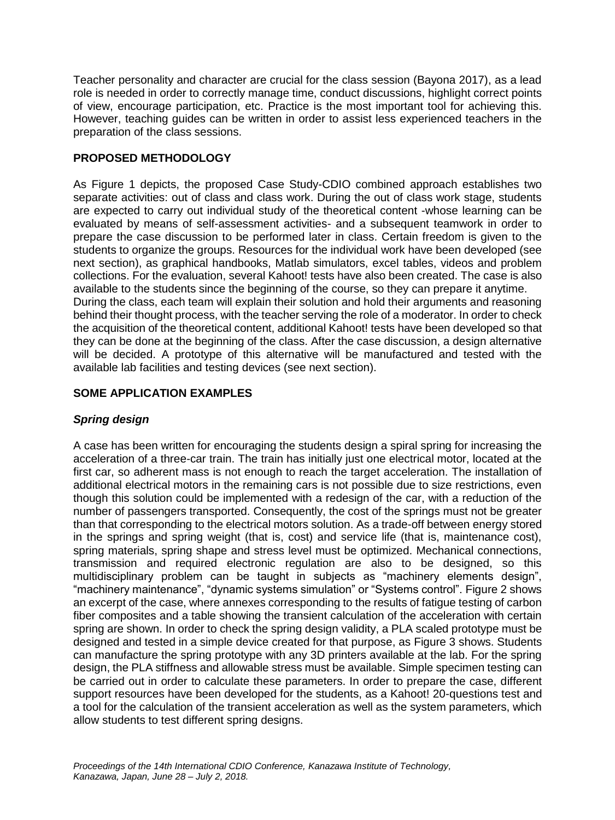Teacher personality and character are crucial for the class session (Bayona 2017), as a lead role is needed in order to correctly manage time, conduct discussions, highlight correct points of view, encourage participation, etc. Practice is the most important tool for achieving this. However, teaching guides can be written in order to assist less experienced teachers in the preparation of the class sessions.

# **PROPOSED METHODOLOGY**

As [Figure 1](#page-6-0) depicts, the proposed Case Study-CDIO combined approach establishes two separate activities: out of class and class work. During the out of class work stage, students are expected to carry out individual study of the theoretical content -whose learning can be evaluated by means of self-assessment activities- and a subsequent teamwork in order to prepare the case discussion to be performed later in class. Certain freedom is given to the students to organize the groups. Resources for the individual work have been developed (see next section), as graphical handbooks, Matlab simulators, excel tables, videos and problem collections. For the evaluation, several Kahoot! tests have also been created. The case is also available to the students since the beginning of the course, so they can prepare it anytime. During the class, each team will explain their solution and hold their arguments and reasoning behind their thought process, with the teacher serving the role of a moderator. In order to check the acquisition of the theoretical content, additional Kahoot! tests have been developed so that they can be done at the beginning of the class. After the case discussion, a design alternative will be decided. A prototype of this alternative will be manufactured and tested with the available lab facilities and testing devices (see next section).

# **SOME APPLICATION EXAMPLES**

# *Spring design*

A case has been written for encouraging the students design a spiral spring for increasing the acceleration of a three-car train. The train has initially just one electrical motor, located at the first car, so adherent mass is not enough to reach the target acceleration. The installation of additional electrical motors in the remaining cars is not possible due to size restrictions, even though this solution could be implemented with a redesign of the car, with a reduction of the number of passengers transported. Consequently, the cost of the springs must not be greater than that corresponding to the electrical motors solution. As a trade-off between energy stored in the springs and spring weight (that is, cost) and service life (that is, maintenance cost), spring materials, spring shape and stress level must be optimized. Mechanical connections, transmission and required electronic regulation are also to be designed, so this multidisciplinary problem can be taught in subjects as "machinery elements design", "machinery maintenance", "dynamic systems simulation" or "Systems control". [Figure 2](#page-6-1) shows an excerpt of the case, where annexes corresponding to the results of fatigue testing of carbon fiber composites and a table showing the transient calculation of the acceleration with certain spring are shown. In order to check the spring design validity, a PLA scaled prototype must be designed and tested in a simple device created for that purpose, as [Figure 3](#page-6-2) shows. Students can manufacture the spring prototype with any 3D printers available at the lab. For the spring design, the PLA stiffness and allowable stress must be available. Simple specimen testing can be carried out in order to calculate these parameters. In order to prepare the case, different support resources have been developed for the students, as a Kahoot! 20-questions test and a tool for the calculation of the transient acceleration as well as the system parameters, which allow students to test different spring designs.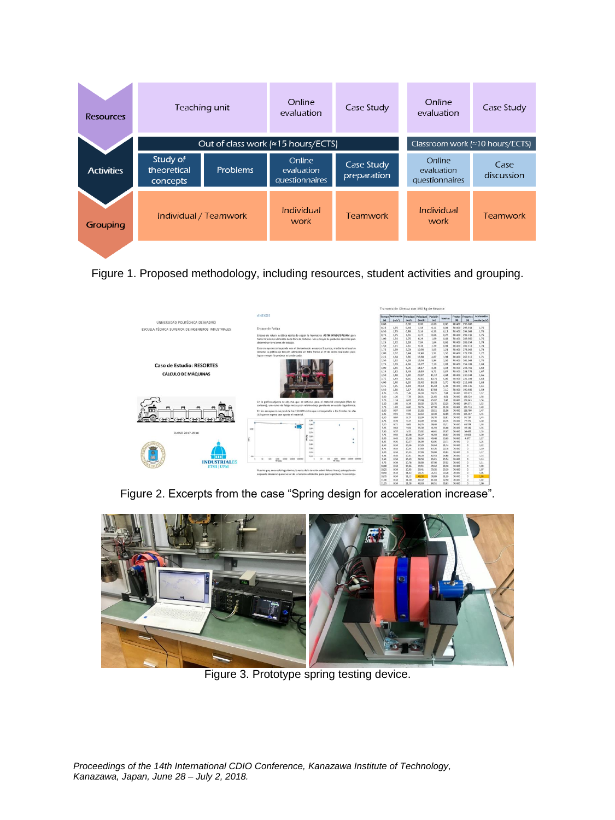| <b>Resources</b>  | Teaching unit                       |                                            | Online<br>evaluation                   | Case Study                              | Online<br>evaluation                   | Case Study         |
|-------------------|-------------------------------------|--------------------------------------------|----------------------------------------|-----------------------------------------|----------------------------------------|--------------------|
|                   |                                     | Out of class work $\approx$ 15 hours/ECTS) |                                        | Classroom work $\approx 10$ hours/ECTS) |                                        |                    |
| <b>Activities</b> | Study of<br>theoretical<br>concepts | Problems                                   | Online<br>evaluation<br>questionnaires | Case Study<br>preparation               | Online<br>evaluation<br>questionnaires | Case<br>discussion |
| Grouping          | Individual / Teamwork               |                                            | Individual<br>work                     | <b>Teamwork</b>                         | Individual<br>work                     | <b>Teamwork</b>    |

<span id="page-6-0"></span>Figure 1. Proposed methodology, including resources, student activities and grouping.



Figure 2. Excerpts from the case "Spring design for acceleration increase".

<span id="page-6-2"></span><span id="page-6-1"></span>

Figure 3. Prototype spring testing device.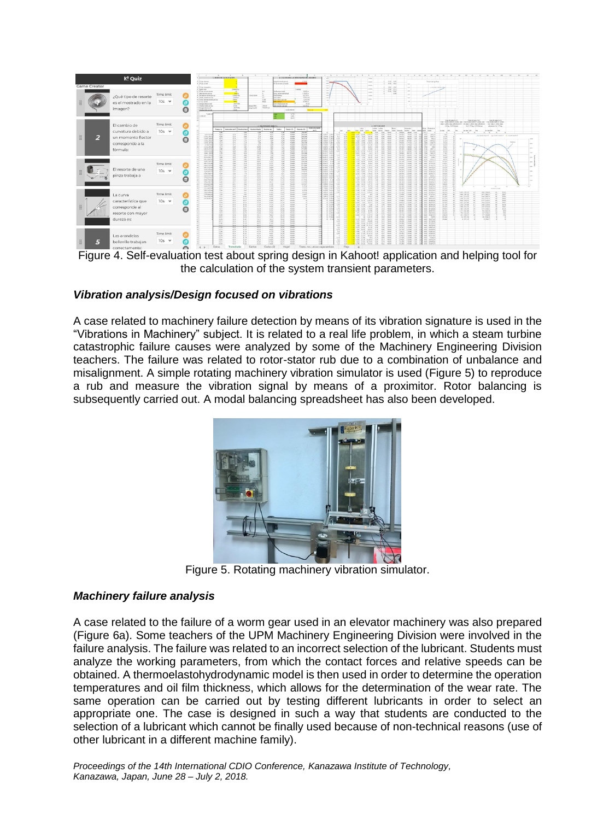

Figure 4. Self-evaluation test about spring design in Kahoot! application and helping tool for the calculation of the system transient parameters.

#### *Vibration analysis/Design focused on vibrations*

A case related to machinery failure detection by means of its vibration signature is used in the "Vibrations in Machinery" subject. It is related to a real life problem, in which a steam turbine catastrophic failure causes were analyzed by some of the Machinery Engineering Division teachers. The failure was related to rotor-stator rub due to a combination of unbalance and misalignment. A simple rotating machinery vibration simulator is used [\(Figure 5\)](#page-7-0) to reproduce a rub and measure the vibration signal by means of a proximitor. Rotor balancing is subsequently carried out. A modal balancing spreadsheet has also been developed.



Figure 5. Rotating machinery vibration simulator.

## <span id="page-7-0"></span>*Machinery failure analysis*

A case related to the failure of a worm gear used in an elevator machinery was also prepared [\(Figure 6a](#page-8-0)). Some teachers of the UPM Machinery Engineering Division were involved in the failure analysis. The failure was related to an incorrect selection of the lubricant. Students must analyze the working parameters, from which the contact forces and relative speeds can be obtained. A thermoelastohydrodynamic model is then used in order to determine the operation temperatures and oil film thickness, which allows for the determination of the wear rate. The same operation can be carried out by testing different lubricants in order to select an appropriate one. The case is designed in such a way that students are conducted to the selection of a lubricant which cannot be finally used because of non-technical reasons (use of other lubricant in a different machine family).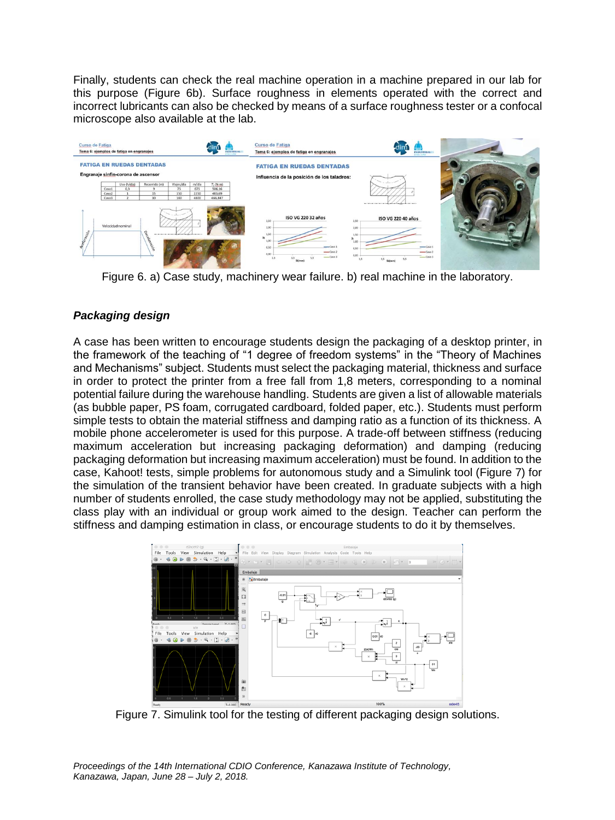Finally, students can check the real machine operation in a machine prepared in our lab for this purpose [\(Figure 6b](#page-8-0)). Surface roughness in elements operated with the correct and incorrect lubricants can also be checked by means of a surface roughness tester or a confocal microscope also available at the lab.



<span id="page-8-0"></span>Figure 6. a) Case study, machinery wear failure. b) real machine in the laboratory.

# *Packaging design*

A case has been written to encourage students design the packaging of a desktop printer, in the framework of the teaching of "1 degree of freedom systems" in the "Theory of Machines and Mechanisms" subject. Students must select the packaging material, thickness and surface in order to protect the printer from a free fall from 1,8 meters, corresponding to a nominal potential failure during the warehouse handling. Students are given a list of allowable materials (as bubble paper, PS foam, corrugated cardboard, folded paper, etc.). Students must perform simple tests to obtain the material stiffness and damping ratio as a function of its thickness. A mobile phone accelerometer is used for this purpose. A trade-off between stiffness (reducing maximum acceleration but increasing packaging deformation) and damping (reducing packaging deformation but increasing maximum acceleration) must be found. In addition to the case, Kahoot! tests, simple problems for autonomous study and a Simulink tool [\(Figure 7\)](#page-8-1) for the simulation of the transient behavior have been created. In graduate subjects with a high number of students enrolled, the case study methodology may not be applied, substituting the class play with an individual or group work aimed to the design. Teacher can perform the stiffness and damping estimation in class, or encourage students to do it by themselves.



<span id="page-8-1"></span>Figure 7. Simulink tool for the testing of different packaging design solutions.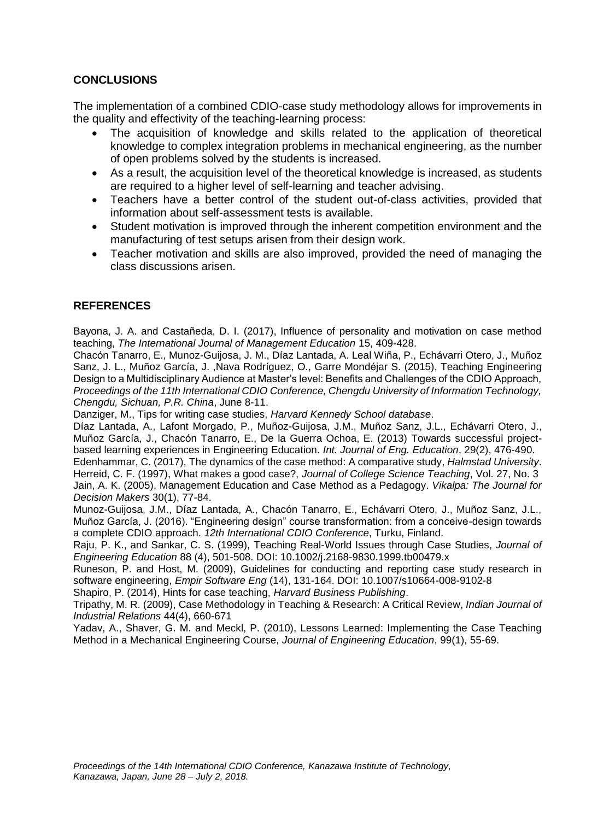# **CONCLUSIONS**

The implementation of a combined CDIO-case study methodology allows for improvements in the quality and effectivity of the teaching-learning process:

- The acquisition of knowledge and skills related to the application of theoretical knowledge to complex integration problems in mechanical engineering, as the number of open problems solved by the students is increased.
- As a result, the acquisition level of the theoretical knowledge is increased, as students are required to a higher level of self-learning and teacher advising.
- Teachers have a better control of the student out-of-class activities, provided that information about self-assessment tests is available.
- Student motivation is improved through the inherent competition environment and the manufacturing of test setups arisen from their design work.
- Teacher motivation and skills are also improved, provided the need of managing the class discussions arisen.

# **REFERENCES**

Bayona, J. A. and Castañeda, D. I. (2017), Influence of personality and motivation on case method teaching, *The International Journal of Management Education* 15, 409-428.

Chacón Tanarro, E., Munoz-Guijosa, J. M., Díaz Lantada, A. Leal Wiña, P., Echávarri Otero, J., Muñoz Sanz, J. L., Muñoz García, J. ,Nava Rodríguez, O., Garre Mondéjar S. (2015), Teaching Engineering Design to a Multidisciplinary Audience at Master's level: Benefits and Challenges of the CDIO Approach, *Proceedings of the 11th International CDIO Conference, Chengdu University of Information Technology, Chengdu, Sichuan, P.R. China*, June 8-11.

Danziger, M., Tips for writing case studies, *Harvard Kennedy School database*.

Díaz Lantada, A., Lafont Morgado, P., Muñoz-Guijosa, J.M., Muñoz Sanz, J.L., Echávarri Otero, J., Muñoz García, J., Chacón Tanarro, E., De la Guerra Ochoa, E. (2013) Towards successful projectbased learning experiences in Engineering Education. *Int. Journal of Eng. Education*, 29(2), 476-490.

Edenhammar, C. (2017), The dynamics of the case method: A comparative study, *Halmstad University*. Herreid, C. F. (1997), What makes a good case?, *Journal of College Science Teaching*, Vol. 27, No. 3 Jain, A. K. (2005), Management Education and Case Method as a Pedagogy. *Vikalpa: The Journal for Decision Makers* 30(1), 77-84.

Munoz-Guijosa, J.M., Díaz Lantada, A., Chacón Tanarro, E., Echávarri Otero, J., Muñoz Sanz, J.L., Muñoz García, J. (2016). "Engineering design" course transformation: from a conceive-design towards a complete CDIO approach. *12th International CDIO Conference*, Turku, Finland.

Raju, P. K., and Sankar, C. S. (1999), Teaching Real-World Issues through Case Studies, *Journal of Engineering Education* 88 (4), 501-508. DOI: 10.1002/j.2168-9830.1999.tb00479.x

Runeson, P. and Host, M. (2009), Guidelines for conducting and reporting case study research in software engineering, *Empir Software Eng* (14), 131-164. DOI: 10.1007/s10664-008-9102-8

Shapiro, P. (2014), Hints for case teaching, *Harvard Business Publishing*.

Tripathy, M. R. (2009), Case Methodology in Teaching & Research: A Critical Review, *Indian Journal of Industrial Relations* 44(4), 660-671

Yadav, A., Shaver, G. M. and Meckl, P. (2010), Lessons Learned: Implementing the Case Teaching Method in a Mechanical Engineering Course, *Journal of Engineering Education*, 99(1), 55-69.